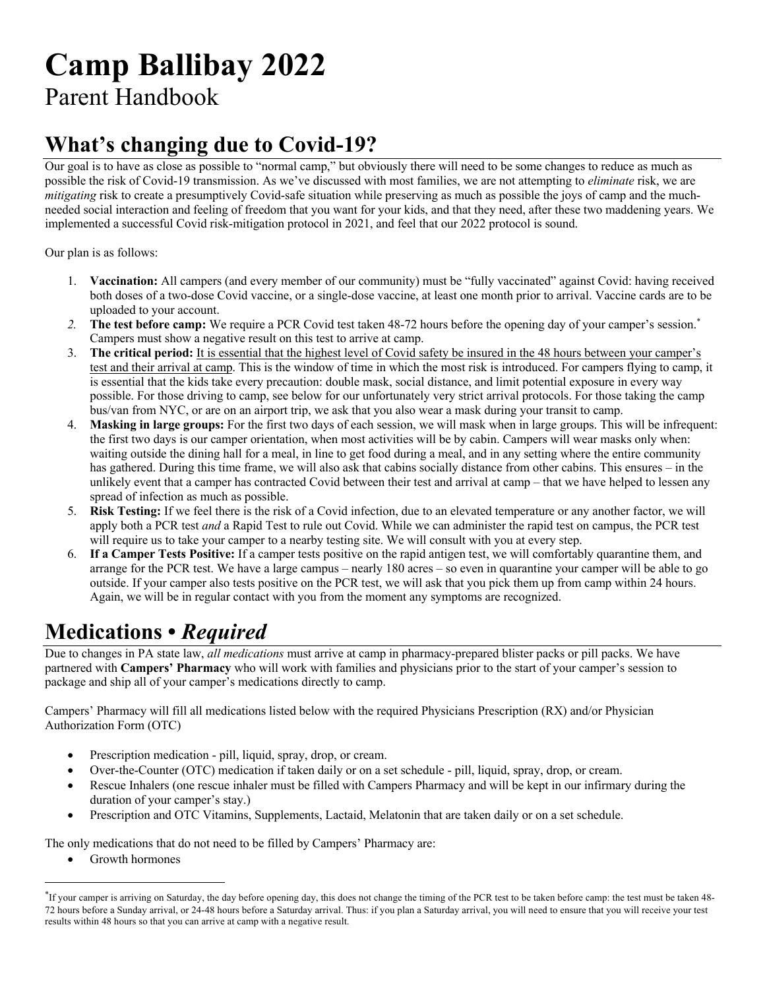# **Camp Ballibay 2022**

Parent Handbook

## **What's changing due to Covid-19?**

Our goal is to have as close as possible to "normal camp," but obviously there will need to be some changes to reduce as much as possible the risk of Covid-19 transmission. As we've discussed with most families, we are not attempting to *eliminate* risk, we are *mitigating* risk to create a presumptively Covid-safe situation while preserving as much as possible the joys of camp and the muchneeded social interaction and feeling of freedom that you want for your kids, and that they need, after these two maddening years. We implemented a successful Covid risk-mitigation protocol in 2021, and feel that our 2022 protocol is sound.

Our plan is as follows:

- 1. **Vaccination:** All campers (and every member of our community) must be "fully vaccinated" against Covid: having received both doses of a two-dose Covid vaccine, or a single-dose vaccine, at least one month prior to arrival. Vaccine cards are to be uploaded to your account.
- 2. The test before camp: We require a PCR Covid test taken 48-72 hours before the opening day of your camper's session.<sup>\*</sup> Campers must show a negative result on this test to arrive at camp.
- 3. **The critical period:** It is essential that the highest level of Covid safety be insured in the 48 hours between your camper's test and their arrival at camp. This is the window of time in which the most risk is introduced. For campers flying to camp, it is essential that the kids take every precaution: double mask, social distance, and limit potential exposure in every way possible. For those driving to camp, see below for our unfortunately very strict arrival protocols. For those taking the camp bus/van from NYC, or are on an airport trip, we ask that you also wear a mask during your transit to camp.
- 4. **Masking in large groups:** For the first two days of each session, we will mask when in large groups. This will be infrequent: the first two days is our camper orientation, when most activities will be by cabin. Campers will wear masks only when: waiting outside the dining hall for a meal, in line to get food during a meal, and in any setting where the entire community has gathered. During this time frame, we will also ask that cabins socially distance from other cabins. This ensures – in the unlikely event that a camper has contracted Covid between their test and arrival at camp – that we have helped to lessen any spread of infection as much as possible.
- 5. **Risk Testing:** If we feel there is the risk of a Covid infection, due to an elevated temperature or any another factor, we will apply both a PCR test *and* a Rapid Test to rule out Covid. While we can administer the rapid test on campus, the PCR test will require us to take your camper to a nearby testing site. We will consult with you at every step.
- 6. **If a Camper Tests Positive:** If a camper tests positive on the rapid antigen test, we will comfortably quarantine them, and arrange for the PCR test. We have a large campus – nearly 180 acres – so even in quarantine your camper will be able to go outside. If your camper also tests positive on the PCR test, we will ask that you pick them up from camp within 24 hours. Again, we will be in regular contact with you from the moment any symptoms are recognized.

# **Medications •** *Required*

Due to changes in PA state law, *all medications* must arrive at camp in pharmacy-prepared blister packs or pill packs. We have partnered with **Campers' Pharmacy** who will work with families and physicians prior to the start of your camper's session to package and ship all of your camper's medications directly to camp.

Campers' Pharmacy will fill all medications listed below with the required Physicians Prescription (RX) and/or Physician Authorization Form (OTC)

- Prescription medication pill, liquid, spray, drop, or cream.
- Over-the-Counter (OTC) medication if taken daily or on a set schedule pill, liquid, spray, drop, or cream.
- Rescue Inhalers (one rescue inhaler must be filled with Campers Pharmacy and will be kept in our infirmary during the duration of your camper's stay.)
- Prescription and OTC Vitamins, Supplements, Lactaid, Melatonin that are taken daily or on a set schedule.

The only medications that do not need to be filled by Campers' Pharmacy are:

Growth hormones

<sup>\*</sup> If your camper is arriving on Saturday, the day before opening day, this does not change the timing of the PCR test to be taken before camp: the test must be taken 48- 72 hours before a Sunday arrival, or 24-48 hours before a Saturday arrival. Thus: if you plan a Saturday arrival, you will need to ensure that you will receive your test results within 48 hours so that you can arrive at camp with a negative result.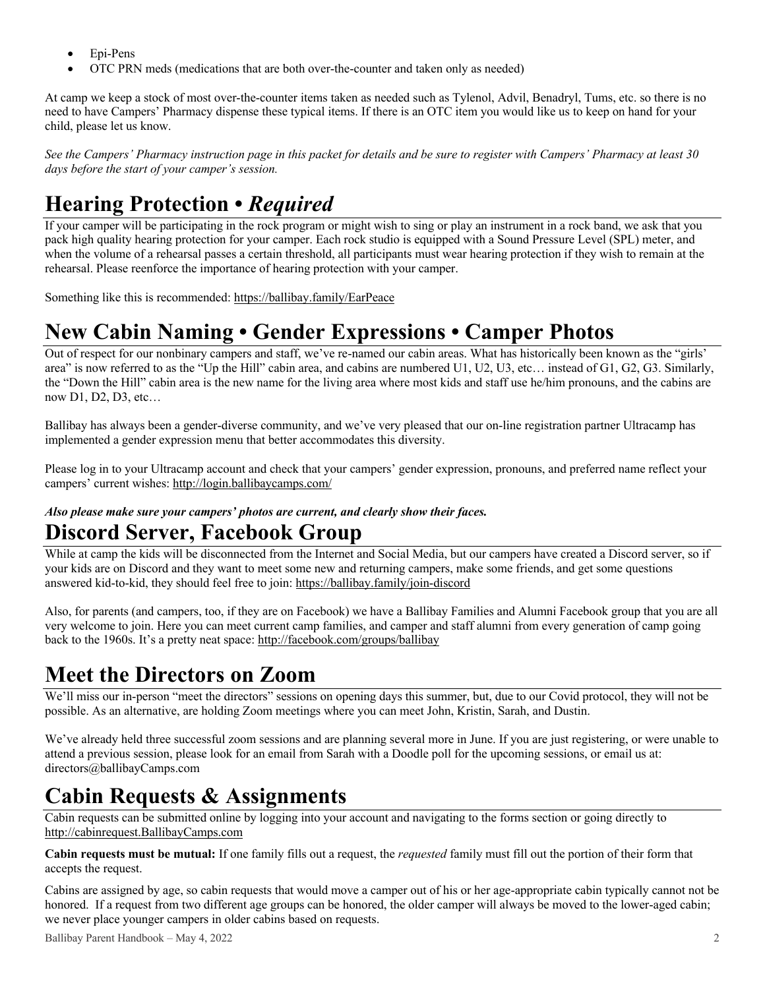- Epi-Pens
- OTC PRN meds (medications that are both over-the-counter and taken only as needed)

At camp we keep a stock of most over-the-counter items taken as needed such as Tylenol, Advil, Benadryl, Tums, etc. so there is no need to have Campers' Pharmacy dispense these typical items. If there is an OTC item you would like us to keep on hand for your child, please let us know.

*See the Campers' Pharmacy instruction page in this packet for details and be sure to register with Campers' Pharmacy at least 30 days before the start of your camper's session.*

# **Hearing Protection •** *Required*

If your camper will be participating in the rock program or might wish to sing or play an instrument in a rock band, we ask that you pack high quality hearing protection for your camper. Each rock studio is equipped with a Sound Pressure Level (SPL) meter, and when the volume of a rehearsal passes a certain threshold, all participants must wear hearing protection if they wish to remain at the rehearsal. Please reenforce the importance of hearing protection with your camper.

Something like this is recommended: https://ballibay.family/EarPeace

### **New Cabin Naming • Gender Expressions • Camper Photos**

Out of respect for our nonbinary campers and staff, we've re-named our cabin areas. What has historically been known as the "girls' area" is now referred to as the "Up the Hill" cabin area, and cabins are numbered U1, U2, U3, etc… instead of G1, G2, G3. Similarly, the "Down the Hill" cabin area is the new name for the living area where most kids and staff use he/him pronouns, and the cabins are now D1, D2, D3, etc…

Ballibay has always been a gender-diverse community, and we've very pleased that our on-line registration partner Ultracamp has implemented a gender expression menu that better accommodates this diversity.

Please log in to your Ultracamp account and check that your campers' gender expression, pronouns, and preferred name reflect your campers' current wishes: http://login.ballibaycamps.com/

#### *Also please make sure your campers' photos are current, and clearly show their faces.*

### **Discord Server, Facebook Group**

While at camp the kids will be disconnected from the Internet and Social Media, but our campers have created a Discord server, so if your kids are on Discord and they want to meet some new and returning campers, make some friends, and get some questions answered kid-to-kid, they should feel free to join: https://ballibay.family/join-discord

Also, for parents (and campers, too, if they are on Facebook) we have a Ballibay Families and Alumni Facebook group that you are all very welcome to join. Here you can meet current camp families, and camper and staff alumni from every generation of camp going back to the 1960s. It's a pretty neat space: http://facebook.com/groups/ballibay

### **Meet the Directors on Zoom**

We'll miss our in-person "meet the directors" sessions on opening days this summer, but, due to our Covid protocol, they will not be possible. As an alternative, are holding Zoom meetings where you can meet John, Kristin, Sarah, and Dustin.

We've already held three successful zoom sessions and are planning several more in June. If you are just registering, or were unable to attend a previous session, please look for an email from Sarah with a Doodle poll for the upcoming sessions, or email us at: directors@ballibayCamps.com

### **Cabin Requests & Assignments**

Cabin requests can be submitted online by logging into your account and navigating to the forms section or going directly to http://cabinrequest.BallibayCamps.com

**Cabin requests must be mutual:** If one family fills out a request, the *requested* family must fill out the portion of their form that accepts the request.

Cabins are assigned by age, so cabin requests that would move a camper out of his or her age-appropriate cabin typically cannot not be honored. If a request from two different age groups can be honored, the older camper will always be moved to the lower-aged cabin; we never place younger campers in older cabins based on requests.

Ballibay Parent Handbook – May 4, 2022 2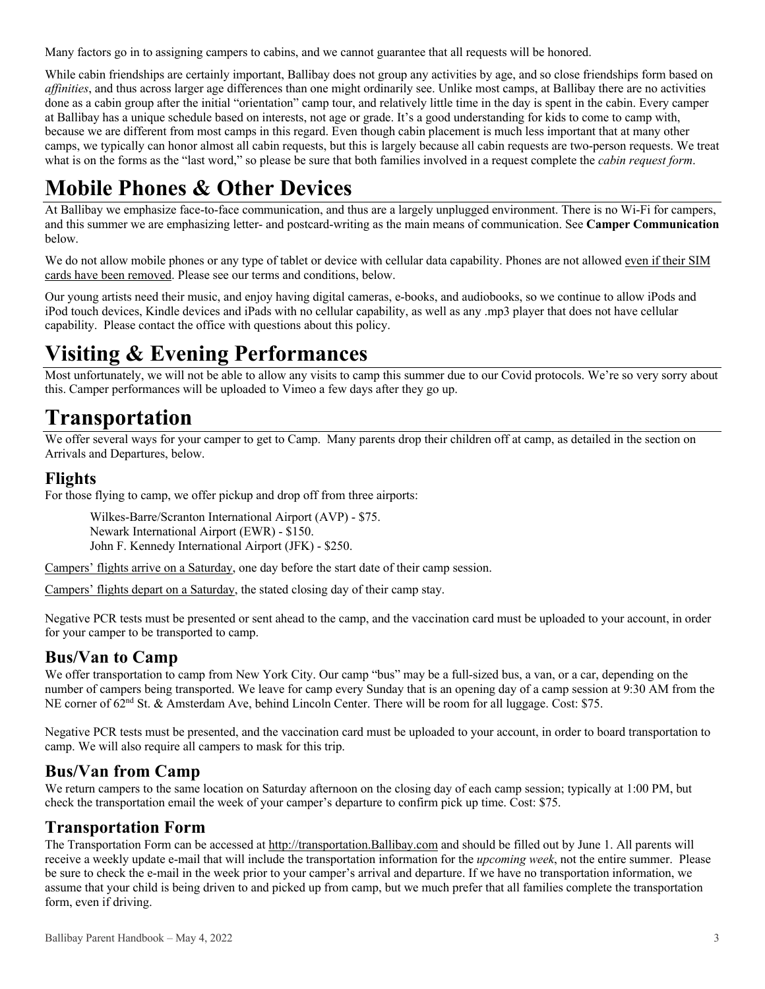Many factors go in to assigning campers to cabins, and we cannot guarantee that all requests will be honored.

While cabin friendships are certainly important, Ballibay does not group any activities by age, and so close friendships form based on *affinities*, and thus across larger age differences than one might ordinarily see. Unlike most camps, at Ballibay there are no activities done as a cabin group after the initial "orientation" camp tour, and relatively little time in the day is spent in the cabin. Every camper at Ballibay has a unique schedule based on interests, not age or grade. It's a good understanding for kids to come to camp with, because we are different from most camps in this regard. Even though cabin placement is much less important that at many other camps, we typically can honor almost all cabin requests, but this is largely because all cabin requests are two-person requests. We treat what is on the forms as the "last word," so please be sure that both families involved in a request complete the *cabin request form*.

# **Mobile Phones & Other Devices**

At Ballibay we emphasize face-to-face communication, and thus are a largely unplugged environment. There is no Wi-Fi for campers, and this summer we are emphasizing letter- and postcard-writing as the main means of communication. See **Camper Communication** below.

We do not allow mobile phones or any type of tablet or device with cellular data capability. Phones are not allowed even if their SIM cards have been removed. Please see our terms and conditions, below.

Our young artists need their music, and enjoy having digital cameras, e-books, and audiobooks, so we continue to allow iPods and iPod touch devices, Kindle devices and iPads with no cellular capability, as well as any .mp3 player that does not have cellular capability. Please contact the office with questions about this policy.

## **Visiting & Evening Performances**

Most unfortunately, we will not be able to allow any visits to camp this summer due to our Covid protocols. We're so very sorry about this. Camper performances will be uploaded to Vimeo a few days after they go up.

### **Transportation**

We offer several ways for your camper to get to Camp. Many parents drop their children off at camp, as detailed in the section on Arrivals and Departures, below.

### **Flights**

For those flying to camp, we offer pickup and drop off from three airports:

Wilkes-Barre/Scranton International Airport (AVP) - \$75. Newark International Airport (EWR) - \$150. John F. Kennedy International Airport (JFK) - \$250.

Campers' flights arrive on a Saturday, one day before the start date of their camp session.

Campers' flights depart on a Saturday, the stated closing day of their camp stay.

Negative PCR tests must be presented or sent ahead to the camp, and the vaccination card must be uploaded to your account, in order for your camper to be transported to camp.

### **Bus/Van to Camp**

We offer transportation to camp from New York City. Our camp "bus" may be a full-sized bus, a van, or a car, depending on the number of campers being transported. We leave for camp every Sunday that is an opening day of a camp session at 9:30 AM from the NE corner of 62<sup>nd</sup> St. & Amsterdam Ave, behind Lincoln Center. There will be room for all luggage. Cost: \$75.

Negative PCR tests must be presented, and the vaccination card must be uploaded to your account, in order to board transportation to camp. We will also require all campers to mask for this trip.

### **Bus/Van from Camp**

We return campers to the same location on Saturday afternoon on the closing day of each camp session; typically at 1:00 PM, but check the transportation email the week of your camper's departure to confirm pick up time. Cost: \$75.

### **Transportation Form**

The Transportation Form can be accessed at http://transportation.Ballibay.com and should be filled out by June 1. All parents will receive a weekly update e-mail that will include the transportation information for the *upcoming week*, not the entire summer. Please be sure to check the e-mail in the week prior to your camper's arrival and departure. If we have no transportation information, we assume that your child is being driven to and picked up from camp, but we much prefer that all families complete the transportation form, even if driving.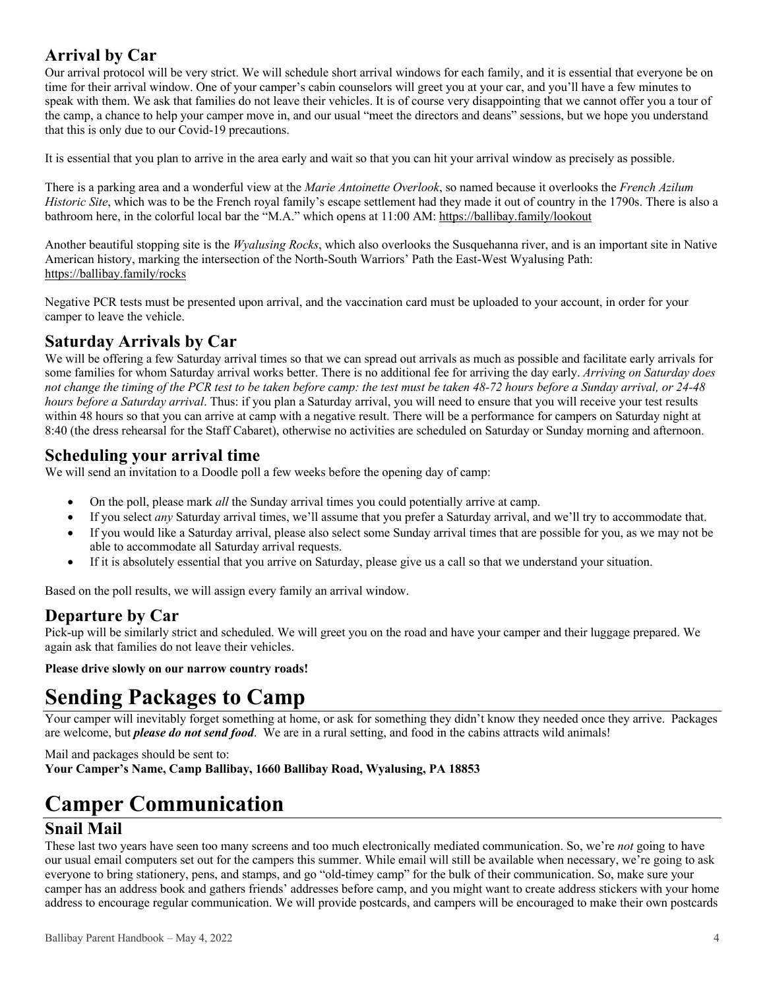### **Arrival by Car**

Our arrival protocol will be very strict. We will schedule short arrival windows for each family, and it is essential that everyone be on time for their arrival window. One of your camper's cabin counselors will greet you at your car, and you'll have a few minutes to speak with them. We ask that families do not leave their vehicles. It is of course very disappointing that we cannot offer you a tour of the camp, a chance to help your camper move in, and our usual "meet the directors and deans" sessions, but we hope you understand that this is only due to our Covid-19 precautions.

It is essential that you plan to arrive in the area early and wait so that you can hit your arrival window as precisely as possible.

There is a parking area and a wonderful view at the *Marie Antoinette Overlook*, so named because it overlooks the *French Azilum Historic Site*, which was to be the French royal family's escape settlement had they made it out of country in the 1790s. There is also a bathroom here, in the colorful local bar the "M.A." which opens at 11:00 AM: https://ballibay.family/lookout

Another beautiful stopping site is the *Wyalusing Rocks*, which also overlooks the Susquehanna river, and is an important site in Native American history, marking the intersection of the North-South Warriors' Path the East-West Wyalusing Path: https://ballibay.family/rocks

Negative PCR tests must be presented upon arrival, and the vaccination card must be uploaded to your account, in order for your camper to leave the vehicle.

### **Saturday Arrivals by Car**

We will be offering a few Saturday arrival times so that we can spread out arrivals as much as possible and facilitate early arrivals for some families for whom Saturday arrival works better. There is no additional fee for arriving the day early. *Arriving on Saturday does not change the timing of the PCR test to be taken before camp: the test must be taken 48-72 hours before a Sunday arrival, or 24-48 hours before a Saturday arrival*. Thus: if you plan a Saturday arrival, you will need to ensure that you will receive your test results within 48 hours so that you can arrive at camp with a negative result. There will be a performance for campers on Saturday night at 8:40 (the dress rehearsal for the Staff Cabaret), otherwise no activities are scheduled on Saturday or Sunday morning and afternoon.

### **Scheduling your arrival time**

We will send an invitation to a Doodle poll a few weeks before the opening day of camp:

- On the poll, please mark *all* the Sunday arrival times you could potentially arrive at camp.
- If you select *any* Saturday arrival times, we'll assume that you prefer a Saturday arrival, and we'll try to accommodate that.
- If you would like a Saturday arrival, please also select some Sunday arrival times that are possible for you, as we may not be able to accommodate all Saturday arrival requests.
- If it is absolutely essential that you arrive on Saturday, please give us a call so that we understand your situation.

Based on the poll results, we will assign every family an arrival window.

### **Departure by Car**

Pick-up will be similarly strict and scheduled. We will greet you on the road and have your camper and their luggage prepared. We again ask that families do not leave their vehicles.

**Please drive slowly on our narrow country roads!**

# **Sending Packages to Camp**

Your camper will inevitably forget something at home, or ask for something they didn't know they needed once they arrive. Packages are welcome, but *please do not send food*. We are in a rural setting, and food in the cabins attracts wild animals!

Mail and packages should be sent to: **Your Camper's Name, Camp Ballibay, 1660 Ballibay Road, Wyalusing, PA 18853**

# **Camper Communication**

### **Snail Mail**

These last two years have seen too many screens and too much electronically mediated communication. So, we're *not* going to have our usual email computers set out for the campers this summer. While email will still be available when necessary, we're going to ask everyone to bring stationery, pens, and stamps, and go "old-timey camp" for the bulk of their communication. So, make sure your camper has an address book and gathers friends' addresses before camp, and you might want to create address stickers with your home address to encourage regular communication. We will provide postcards, and campers will be encouraged to make their own postcards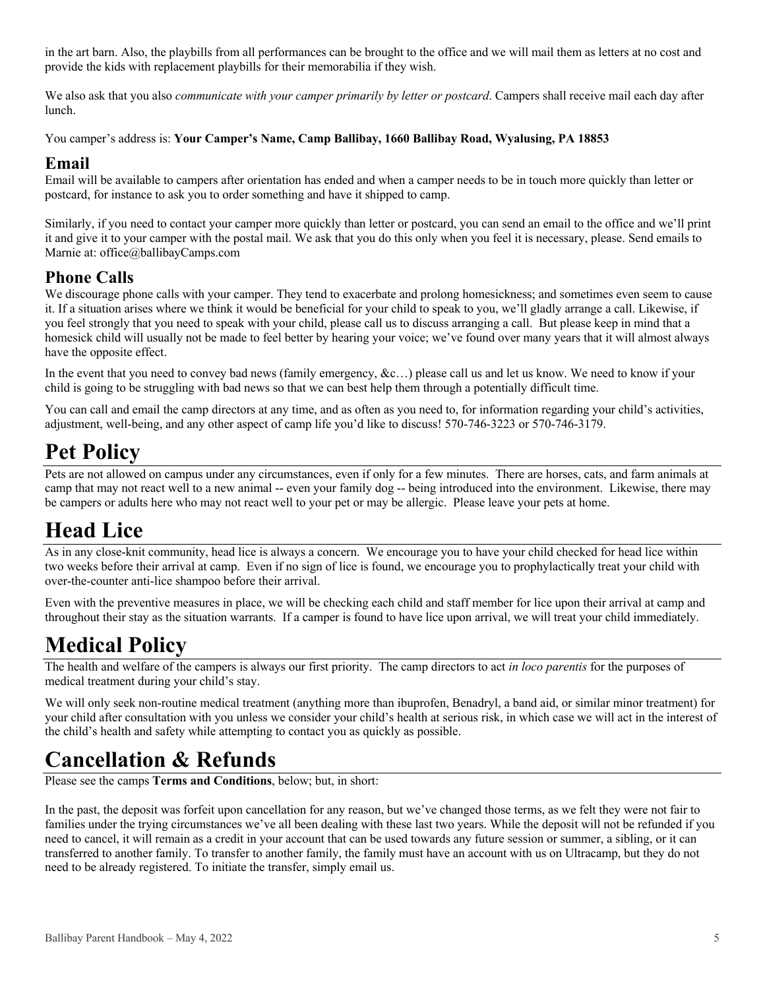in the art barn. Also, the playbills from all performances can be brought to the office and we will mail them as letters at no cost and provide the kids with replacement playbills for their memorabilia if they wish.

We also ask that you also *communicate with your camper primarily by letter or postcard*. Campers shall receive mail each day after lunch.

You camper's address is: **Your Camper's Name, Camp Ballibay, 1660 Ballibay Road, Wyalusing, PA 18853**

#### **Email**

Email will be available to campers after orientation has ended and when a camper needs to be in touch more quickly than letter or postcard, for instance to ask you to order something and have it shipped to camp.

Similarly, if you need to contact your camper more quickly than letter or postcard, you can send an email to the office and we'll print it and give it to your camper with the postal mail. We ask that you do this only when you feel it is necessary, please. Send emails to Marnie at: office@ballibayCamps.com

### **Phone Calls**

We discourage phone calls with your camper. They tend to exacerbate and prolong homesickness; and sometimes even seem to cause it. If a situation arises where we think it would be beneficial for your child to speak to you, we'll gladly arrange a call. Likewise, if you feel strongly that you need to speak with your child, please call us to discuss arranging a call. But please keep in mind that a homesick child will usually not be made to feel better by hearing your voice; we've found over many years that it will almost always have the opposite effect.

In the event that you need to convey bad news (family emergency, &c...) please call us and let us know. We need to know if your child is going to be struggling with bad news so that we can best help them through a potentially difficult time.

You can call and email the camp directors at any time, and as often as you need to, for information regarding your child's activities, adjustment, well-being, and any other aspect of camp life you'd like to discuss! 570-746-3223 or 570-746-3179.

## **Pet Policy**

Pets are not allowed on campus under any circumstances, even if only for a few minutes. There are horses, cats, and farm animals at camp that may not react well to a new animal -- even your family dog -- being introduced into the environment. Likewise, there may be campers or adults here who may not react well to your pet or may be allergic. Please leave your pets at home.

### **Head Lice**

As in any close-knit community, head lice is always a concern. We encourage you to have your child checked for head lice within two weeks before their arrival at camp. Even if no sign of lice is found, we encourage you to prophylactically treat your child with over-the-counter anti-lice shampoo before their arrival.

Even with the preventive measures in place, we will be checking each child and staff member for lice upon their arrival at camp and throughout their stay as the situation warrants. If a camper is found to have lice upon arrival, we will treat your child immediately.

### **Medical Policy**

The health and welfare of the campers is always our first priority. The camp directors to act *in loco parentis* for the purposes of medical treatment during your child's stay.

We will only seek non-routine medical treatment (anything more than ibuprofen, Benadryl, a band aid, or similar minor treatment) for your child after consultation with you unless we consider your child's health at serious risk, in which case we will act in the interest of the child's health and safety while attempting to contact you as quickly as possible.

### **Cancellation & Refunds**

Please see the camps **Terms and Conditions**, below; but, in short:

In the past, the deposit was forfeit upon cancellation for any reason, but we've changed those terms, as we felt they were not fair to families under the trying circumstances we've all been dealing with these last two years. While the deposit will not be refunded if you need to cancel, it will remain as a credit in your account that can be used towards any future session or summer, a sibling, or it can transferred to another family. To transfer to another family, the family must have an account with us on Ultracamp, but they do not need to be already registered. To initiate the transfer, simply email us.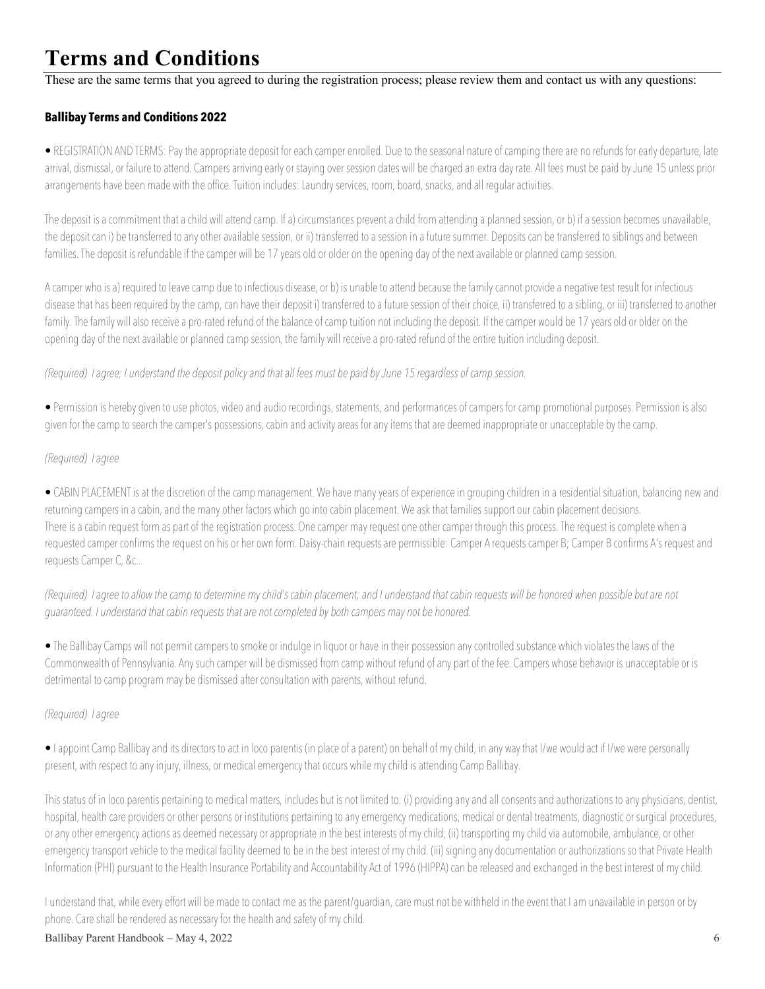# **Terms and Conditions**

These are the same terms that you agreed to during the registration process; please review them and contact us with any questions:

#### **Ballibay Terms and Conditions 2022**

• REGISTRATION AND TERMS: Pay the appropriate deposit for each camper enrolled. Due to the seasonal nature of camping there are no refunds for early departure, late arrival, dismissal, or failure to attend. Campers arriving early or staying over session dates will be charged an extra day rate. All fees must be paid by June 15 unless prior arrangements have been made with the office. Tuition includes: Laundry services, room, board, snacks, and all regular activities.

The deposit is a commitment that a child will attend camp. If a) circumstances prevent a child from attending a planned session, or b) if a session becomes unavailable, the deposit can i) be transferred to any other available session, or ii) transferred to a session in a future summer. Deposits can be transferred to siblings and between families. The deposit is refundable if the camper will be 17 years old or older on the opening day of the next available or planned camp session.

A camper who is a) required to leave camp due to infectious disease, or b) is unable to attend because the family cannot provide a negative test result for infectious disease that has been required by the camp, can have their deposit i) transferred to a future session of their choice, ii) transferred to a sibling, or iii) transferred to another family. The family will also receive a pro-rated refund of the balance of camp tuition not including the deposit. If the camper would be 17 years old or older on the opening day of the next available or planned camp session, the family will receive a pro-rated refund of the entire tuition including deposit.

*(Required) Iagree; I understand the deposit policy and that all fees must be paid by June 15 regardless of camp session.*

• Permission is hereby given to use photos, video and audio recordings, statements, and performances of campers for camp promotional purposes. Permission is also given for the camp to search the camper's possessions, cabin and activity areas for any items that are deemed inappropriate or unacceptable by the camp.

#### *(Required) I agree*

• CABIN PLACEMENT is at the discretion of the camp management. We have many years of experience in grouping children in a residential situation, balancing new and returning campers in a cabin, and the many other factors which go into cabin placement. We ask that families support our cabin placement decisions. There is a cabin request form as part of the registration process. One camper may request one other camper through this process. The request is complete when a requested camper confirms the request on his or her own form. Daisy-chain requests are permissible: Camper A requests camper B; Camper B confirms A's request and requests Camper C, &c...

*(Required) I agree to allow the camp to determine my child's cabin placement; and I understand that cabin requests will be honored when possible but are not guaranteed. I understand that cabin requests that are not completed by both campers may not be honored.*

• The Ballibay Camps will not permit campers to smoke or indulge in liquor or have in their possession any controlled substance which violates the laws of the Commonwealth of Pennsylvania. Any such camper will be dismissed from camp without refund of any part of the fee. Campers whose behavior is unacceptable or is detrimental to camp program may be dismissed after consultation with parents, without refund.

#### *(Required) I agree*

• I appoint Camp Ballibay and its directors to act in loco parentis (in place of a parent) on behalf of my child, in any way that I/we would act if I/we were personally present, with respect to any injury, illness, or medical emergency that occurs while my child is attending Camp Ballibay.

This status of in loco parentis pertaining to medical matters, includes but is not limited to: (i) providing any and all consents and authorizations to any physicians, dentist, hospital, health care providers or other persons or institutions pertaining to any emergency medications, medical or dental treatments, diagnostic or surgical procedures, or any other emergency actions as deemed necessary or appropriate in the best interests of my child; (ii) transporting my child via automobile, ambulance, or other emergency transport vehicle to the medical facility deemed to be in the best interest of my child. (iii) signing any documentation or authorizations so that Private Health Information (PHI) pursuant to the Health Insurance Portability and Accountability Act of 1996 (HIPPA) can be released and exchanged in the best interest of my child.

I understand that, while every effort will be made to contact me as the parent/guardian, care must not be withheld in the event that I am unavailable in person or by phone. Care shall be rendered as necessary for the health and safety of my child.

#### Ballibay Parent Handbook – May 4, 2022 6